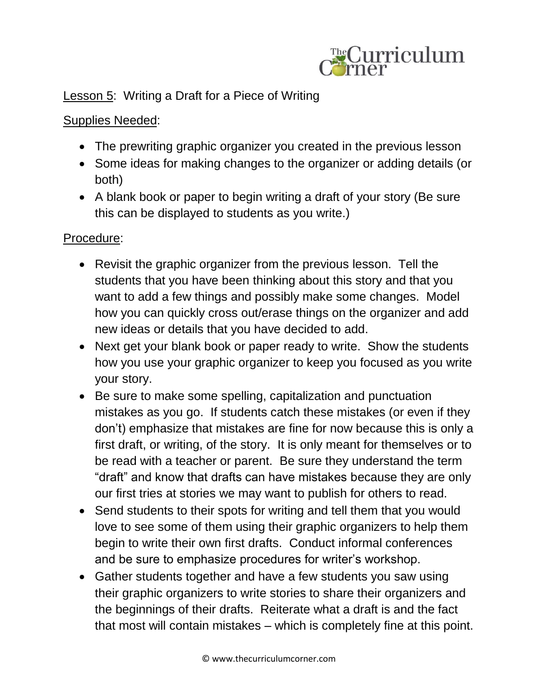

## Lesson 5: Writing a Draft for a Piece of Writing

## Supplies Needed:

- The prewriting graphic organizer you created in the previous lesson
- Some ideas for making changes to the organizer or adding details (or both)
- A blank book or paper to begin writing a draft of your story (Be sure this can be displayed to students as you write.)

## Procedure:

- Revisit the graphic organizer from the previous lesson. Tell the students that you have been thinking about this story and that you want to add a few things and possibly make some changes. Model how you can quickly cross out/erase things on the organizer and add new ideas or details that you have decided to add.
- Next get your blank book or paper ready to write. Show the students how you use your graphic organizer to keep you focused as you write your story.
- Be sure to make some spelling, capitalization and punctuation mistakes as you go. If students catch these mistakes (or even if they don't) emphasize that mistakes are fine for now because this is only a first draft, or writing, of the story. It is only meant for themselves or to be read with a teacher or parent. Be sure they understand the term "draft" and know that drafts can have mistakes because they are only our first tries at stories we may want to publish for others to read.
- Send students to their spots for writing and tell them that you would love to see some of them using their graphic organizers to help them begin to write their own first drafts. Conduct informal conferences and be sure to emphasize procedures for writer's workshop.
- Gather students together and have a few students you saw using their graphic organizers to write stories to share their organizers and the beginnings of their drafts. Reiterate what a draft is and the fact that most will contain mistakes – which is completely fine at this point.